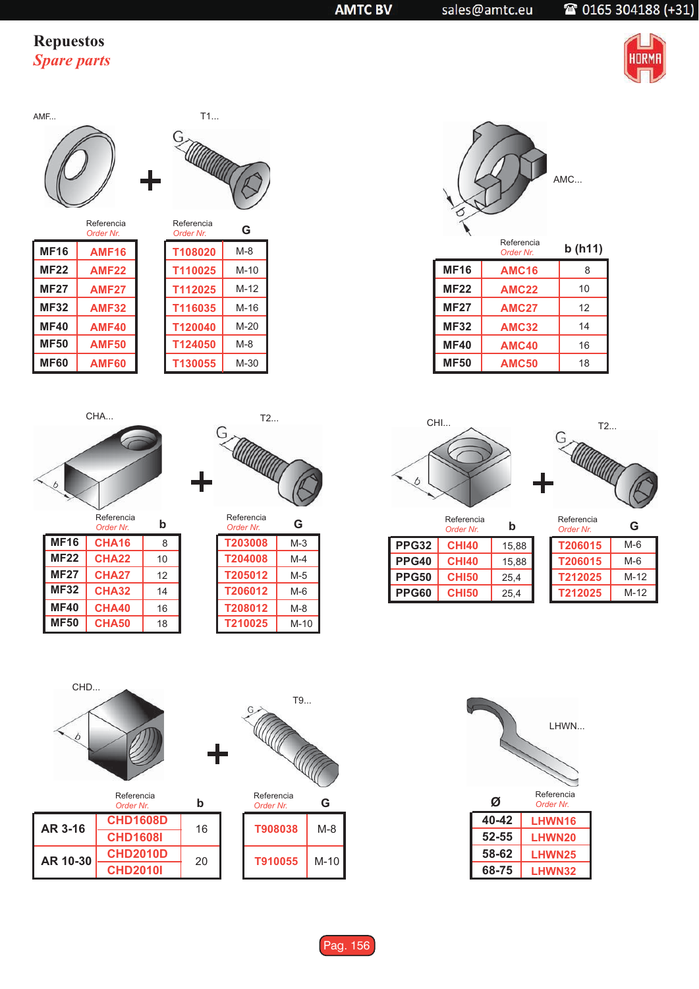## **Repuestos Spare parts**



AMF...



|             | Referencia<br>Order Nr. | Referer<br>Order N |
|-------------|-------------------------|--------------------|
| <b>MF16</b> | <b>AMF16</b>            | T1080              |
| <b>MF22</b> | <b>AMF22</b>            | T1100              |
| <b>MF27</b> | <b>AMF27</b>            | T1120              |
| <b>MF32</b> | <b>AMF32</b>            | T1160              |
| <b>MF40</b> | <b>AMF40</b>            | T1200              |
| <b>MF50</b> | <b>AMF50</b>            | T1240              |
| <b>MF60</b> | <b>AMF60</b>            | <b>T1300</b>       |
|             |                         |                    |



| Referencia<br>Order Nr. | G      |
|-------------------------|--------|
| T108020                 | $M-8$  |
| T110025                 | $M-10$ |
| T112025                 | $M-12$ |
| T116035                 | M-16   |
| T120040                 | $M-20$ |
| T124050                 | $M-8$  |
| T130055                 | M-30   |

CHA...

 $\overline{b}$ 



|             | Referencia<br>Order Nr. | b  |
|-------------|-------------------------|----|
| <b>MF16</b> | <b>CHA16</b>            | 8  |
| <b>MF22</b> | <b>CHA22</b>            | 10 |
| <b>MF27</b> | <b>CHA27</b>            | 12 |
| <b>MF32</b> | <b>CHA32</b>            | 14 |
| <b>MF40</b> | <b>CHA40</b>            | 16 |
| <b>MF50</b> | <b>CHA50</b>            | 18 |

| Referencia<br>Order Nr | G     |
|------------------------|-------|
| T203008                | $M-3$ |
| T204008                | M-4   |
| T205012                | $M-5$ |
| T206012                | $M-6$ |
| T208012                | $M-8$ |
| T210025                | M-10  |



|             | Order Nr.    | , <i>.</i> |
|-------------|--------------|------------|
| <b>MF16</b> | <b>AMC16</b> | 8          |
| <b>MF22</b> | <b>AMC22</b> | 10         |
| <b>MF27</b> | <b>AMC27</b> | 12         |
| <b>MF32</b> | <b>AMC32</b> | 14         |
| <b>MF40</b> | <b>AMC40</b> | 16         |
| <b>MF50</b> | <b>AMC50</b> | 18         |





Referencia

|              | Referencia<br>Order Nr. | b     |
|--------------|-------------------------|-------|
| <b>PPG32</b> | <b>CHI40</b>            | 15,88 |
| <b>PPG40</b> | <b>CHI40</b>            | 15.88 |
| <b>PPG50</b> | <b>CHI50</b>            | 25,4  |
| PPG60        | <b>CHI50</b>            | 25,4  |

| Order Nr | G    |
|----------|------|
| T206015  | M-6  |
| T206015  | M-6  |
| T212025  | M-12 |
| T212025  | M-12 |



|          | Referencia<br>Order Nr | b  |
|----------|------------------------|----|
| AR 3-16  | <b>CHD1608D</b>        | 16 |
|          | <b>CHD1608I</b>        |    |
| AR 10-30 | <b>CHD2010D</b>        | 20 |
|          | <b>CHD2010I</b>        |    |